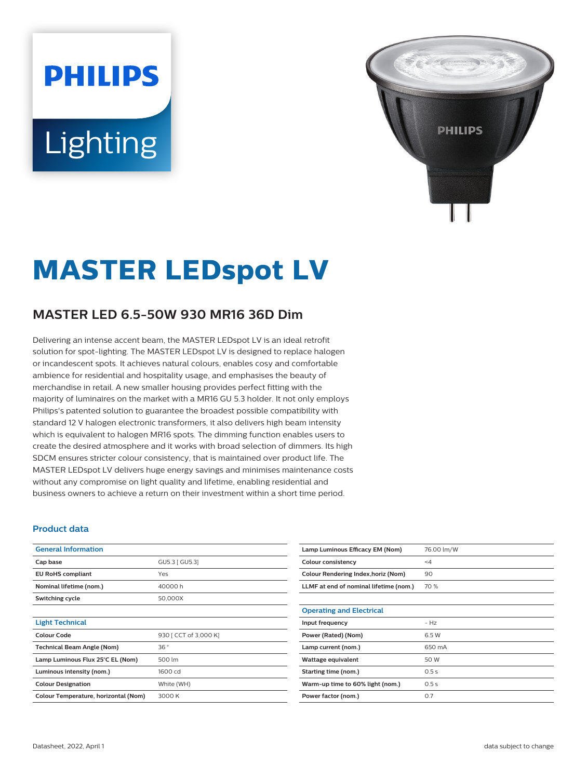# **PHILIPS** Lighting



## **MASTER LEDspot LV**

### **MASTER LED 6.5-50W 930 MR16 36D Dim**

Delivering an intense accent beam, the MASTER LEDspot LV is an ideal retrofit solution for spot-lighting. The MASTER LEDspot LV is designed to replace halogen or incandescent spots. It achieves natural colours, enables cosy and comfortable ambience for residential and hospitality usage, and emphasises the beauty of merchandise in retail. A new smaller housing provides perfect fitting with the majority of luminaires on the market with a MR16 GU 5.3 holder. It not only employs Philips's patented solution to guarantee the broadest possible compatibility with standard 12 V halogen electronic transformers, it also delivers high beam intensity which is equivalent to halogen MR16 spots. The dimming function enables users to create the desired atmosphere and it works with broad selection of dimmers. Its high SDCM ensures stricter colour consistency, that is maintained over product life. The MASTER LEDspot LV delivers huge energy savings and minimises maintenance costs without any compromise on light quality and lifetime, enabling residential and business owners to achieve a return on their investment within a short time period.

#### **Product data**

| <b>General Information</b>           |                       |
|--------------------------------------|-----------------------|
| Cap base                             | GU5.3   GU5.3]        |
| <b>EU RoHS compliant</b>             | Yes                   |
| Nominal lifetime (nom.)              | 40000 h               |
| Switching cycle                      | 50,000X               |
|                                      |                       |
| <b>Light Technical</b>               |                       |
| Colour Code                          | 930 [ CCT of 3,000 K] |
| <b>Technical Beam Angle (Nom)</b>    | 36°                   |
| Lamp Luminous Flux 25°C EL (Nom)     | 500 lm                |
| Luminous intensity (nom.)            | 1600 cd               |
| <b>Colour Designation</b>            | White (WH)            |
| Colour Temperature, horizontal (Nom) | 3000 K                |

| Lamp Luminous Efficacy EM (Nom)        | 76.00 lm/W |
|----------------------------------------|------------|
| Colour consistency                     | $\leq 4$   |
| Colour Rendering Index, horiz (Nom)    | 90         |
| LLMF at end of nominal lifetime (nom.) | 70 %       |
|                                        |            |
| <b>Operating and Electrical</b>        |            |
| Input frequency                        | $-Hz$      |
| Power (Rated) (Nom)                    | 6.5 W      |
| Lamp current (nom.)                    | 650 mA     |
| Wattage equivalent                     | 50 W       |
| Starting time (nom.)                   | 0.5s       |
| Warm-up time to 60% light (nom.)       | 0.5s       |
| Power factor (nom.)                    | 0.7        |
|                                        |            |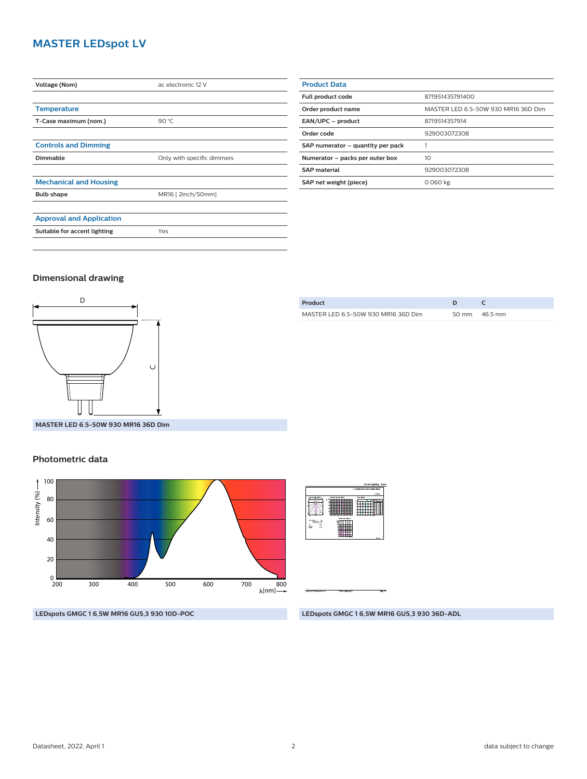#### **MASTER LEDspot LV**

| Voltage (Nom)                   | ac electronic 12 V         |  |
|---------------------------------|----------------------------|--|
|                                 |                            |  |
| <b>Temperature</b>              |                            |  |
| T-Case maximum (nom.)           | 90 °C                      |  |
|                                 |                            |  |
| <b>Controls and Dimming</b>     |                            |  |
| Dimmable                        | Only with specific dimmers |  |
|                                 |                            |  |
| <b>Mechanical and Housing</b>   |                            |  |
| <b>Bulb shape</b>               | MR16 [ 2inch/50mm]         |  |
|                                 |                            |  |
| <b>Approval and Application</b> |                            |  |
| Suitable for accent lighting    | Yes                        |  |
|                                 |                            |  |

| <b>Product Data</b>               |                                     |
|-----------------------------------|-------------------------------------|
| <b>Full product code</b>          | 871951435791400                     |
| Order product name                | MASTER LED 6.5-50W 930 MR16 36D Dim |
| EAN/UPC - product                 | 8719514357914                       |
| Order code                        | 929003072308                        |
| SAP numerator - quantity per pack |                                     |
| Numerator - packs per outer box   | 10                                  |
| <b>SAP material</b>               | 929003072308                        |
| SAP net weight (piece)            | 0.060 kg                            |

#### **Dimensional drawing**



| Product                             |                 |
|-------------------------------------|-----------------|
| MASTER LED 6.5-50W 930 MR16 36D Dim | 50 mm $46.5$ mm |
|                                     |                 |

**MASTER LED 6.5-50W 930 MR16 36D Dim**

#### **Photometric data**



|                                                                                                           |                                                                                                 | Accent Lighting - Spots<br>1 x 9290830723 36D 3000K PRM6 |
|-----------------------------------------------------------------------------------------------------------|-------------------------------------------------------------------------------------------------|----------------------------------------------------------|
| <b>Internet of Kapitan</b><br><b>Sylven and</b><br>u.<br>men.<br>÷<br><b>War</b><br>$\sim$<br>b%<br>tier. | <b>Burn Away</b><br>Carlester Interesty disease<br>î<br><b><i>Visual property dispenses</i></b> | 1 x 100 lm<br>$10 - 10$<br>--                            |

**LEDspots GMGC 1 6,5W MR16 GU5,3 930 10D-POC**

**LEDspots GMGC 1 6,5W MR16 GU5,3 930 36D-ADL**